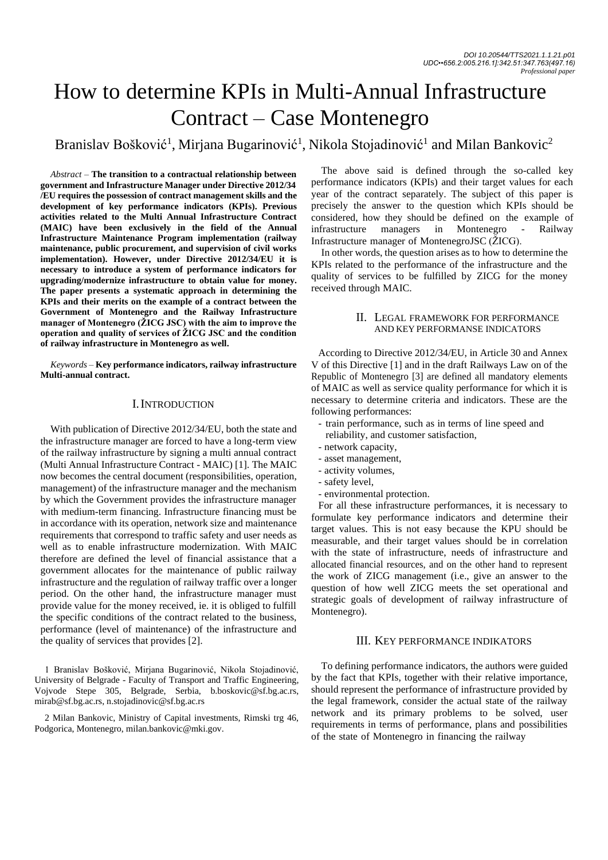# How to determine KPIs in Multi-Annual Infrastructure Contract – Case Montenegro

Branislav Bošković<sup>1</sup>, Mirjana Bugarinović<sup>1</sup>, Nikola Stojadinović<sup>1</sup> and Milan Bankovic<sup>2</sup>

*Abstract –* **The transition to a contractual relationship between government and Infrastructure Manager under Directive 2012/34 /EU requires the possession of contract management skills and the development of key performance indicators (KPIs). Previous activities related to the Multi Annual Infrastructure Contract (MAIC) have been exclusively in the field of the Annual Infrastructure Maintenance Program implementation (railway maintenance, public procurement, and supervision of civil works implementation). However, under Directive 2012/34/EU it is necessary to introduce a system of performance indicators for upgrading/modernize infrastructure to obtain value for money. The paper presents a systematic approach in determining the KPIs and their merits on the example of a contract between the Government of Montenegro and the Railway Infrastructure manager of Montenegro (ŽICG JSC) with the aim to improve the operation and quality of services of ŽICG JSC and the condition of railway infrastructure in Montenegro as well.**

*Keywords –* **Key performance indicators, railway infrastructure Multi-annual contract.**

# I.INTRODUCTION

With publication of Directive 2012/34/EU, both the state and the infrastructure manager are forced to have a long-term view of the railway infrastructure by signing a multi annual contract (Multi Annual Infrastructure Contract - MAIC) [1]. The MAIC now becomes the central document (responsibilities, operation, management) of the infrastructure manager and the mechanism by which the Government provides the infrastructure manager with medium-term financing. Infrastructure financing must be in accordance with its operation, network size and maintenance requirements that correspond to traffic safety and user needs as well as to enable infrastructure modernization. With MAIC therefore are defined the level of financial assistance that a government allocates for the maintenance of public railway infrastructure and the regulation of railway traffic over a longer period. On the other hand, the infrastructure manager must provide value for the money received, ie. it is obliged to fulfill the specific conditions of the contract related to the business, performance (level of maintenance) of the infrastructure and the quality of services that provides [2].

1 Branislav Bošković, Mirjana Bugarinović, Nikola Stojadinović, University of Belgrade - Faculty of Transport and Traffic Engineering, Vojvode Stepe 305, Belgrade, Serbia, [b.boskovic@sf.bg.ac.rs,](mailto:b.boskovic@sf.bg.ac.rs)  [mirab@sf.bg.ac.rs,](mailto:mirab@sf.bg.ac.rs) n.stojadinovic@sf.bg.ac.rs

2 Milan Bankovic, Ministry of Capital investments, Rimski trg 46, Podgorica, Montenegro, milan.bankovic@mki.gov.

The above said is defined through the so-called key performance indicators (KPIs) and their target values for each year of the contract separately. The subject of this paper is precisely the answer to the question which KPIs should be considered, how they should be defined on the example of infrastructure managers in Montenegro - Railway Infrastructure manager of MontenegroJSC (ŽICG).

In other words, the question arises as to how to determine the KPIs related to the performance of the infrastructure and the quality of services to be fulfilled by ZICG for the money received through MAIC.

## II. LEGAL FRAMEWORK FOR PERFORMANCE AND KEY PERFORMANSE INDICATORS

According to Directive 2012/34/EU, in Article 30 and Annex V of this Directive [1] and in the draft Railways Law on of the Republic of Montenegro [3] are defined all mandatory elements of MAIC as well as service quality performance for which it is necessary to determine criteria and indicators. These are the following performances:

- train performance, such as in terms of line speed and
- reliability, and customer satisfaction,
- network capacity,
- asset management,
- activity volumes,
- safety level,
- environmental protection.

For all these infrastructure performances, it is necessary to formulate key performance indicators and determine their target values. This is not easy because the KPU should be measurable, and their target values should be in correlation with the state of infrastructure, needs of infrastructure and allocated financial resources, and on the other hand to represent the work of ZICG management (i.e., give an answer to the question of how well ZICG meets the set operational and strategic goals of development of railway infrastructure of Montenegro).

# III. KEY PERFORMANCE INDIKATORS

To defining performance indicators, the authors were guided by the fact that KPIs, together with their relative importance, should represent the performance of infrastructure provided by the legal framework, consider the actual state of the railway network and its primary problems to be solved, user requirements in terms of performance, plans and possibilities of the state of Montenegro in financing the railway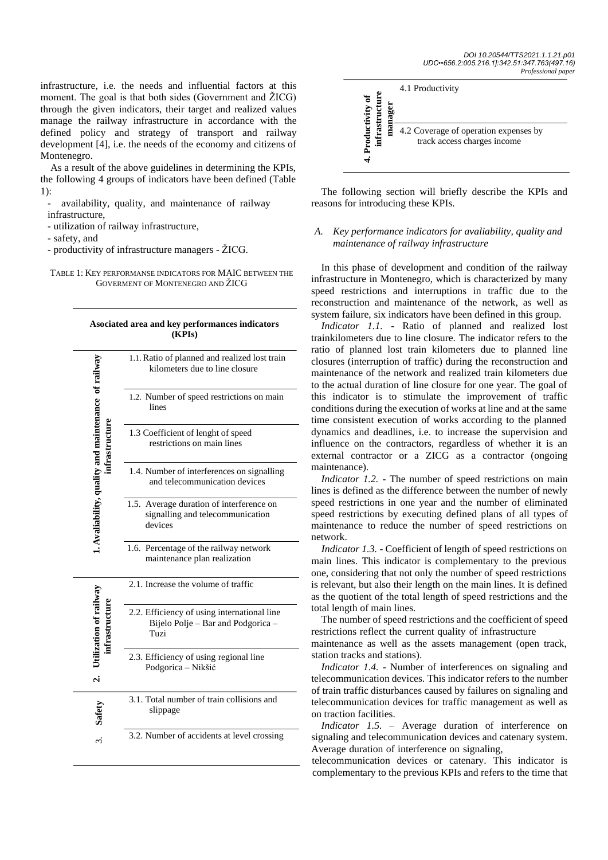infrastructure, i.e. the needs and influential factors at this moment. The goal is that both sides (Government and ŽICG) through the given indicators, their target and realized values manage the railway infrastructure in accordance with the defined policy and strategy of transport and railway development [4], i.e. the needs of the economy and citizens of Montenegro.

As a result of the above guidelines in determining the KPIs, the following 4 groups of indicators have been defined (Table 1):

availability, quality, and maintenance of railway infrastructure,

- utilization of railway infrastructure,

- safety, and

- productivity of infrastructure managers - ŽICG.

TABLE 1: KEY PERFORMANSE INDICATORS FOR MAIC BETWEEN THE GOVERMENT OF MONTENEGRO AND ŽICG

| Asociated area and key performances indicators<br>(KPIs) |                                                                                           |
|----------------------------------------------------------|-------------------------------------------------------------------------------------------|
| . Avaliability, quality and maintenance of railway       | 1.1. Ratio of planned and realized lost train<br>kilometers due to line closure           |
|                                                          | 1.2. Number of speed restrictions on main<br>lines                                        |
|                                                          | 1.3 Coefficient of lenght of speed<br>restrictions on main lines                          |
|                                                          | 1.4. Number of interferences on signalling<br>and telecommunication devices               |
|                                                          | 1.5. Average duration of interference on<br>signalling and telecommunication<br>devices   |
|                                                          | 1.6. Percentage of the railway network<br>maintenance plan realization                    |
| Jtilization of railway                                   | 2.1. Increase the volume of traffic                                                       |
|                                                          | 2.2. Efficiency of using international line<br>Bijelo Polje - Bar and Podgorica -<br>Tuzi |
|                                                          | 2.3. Efficiency of using regional line<br>Podgorica - Nikšić                              |
|                                                          | 3.1. Total number of train collisions and<br>slippage                                     |
|                                                          | 3.2. Number of accidents at level crossing                                                |



The following section will briefly describe the KPIs and reasons for introducing these KPIs.

# *A. Key performance indicators for avaliability, quality and maintenance of railway infrastructure*

In this phase of development and condition of the railway infrastructure in Montenegro, which is characterized by many speed restrictions and interruptions in traffic due to the reconstruction and maintenance of the network, as well as system failure, six indicators have been defined in this group.

*Indicator 1.1.* - Ratio of planned and realized lost trainkilometers due to line closure. The indicator refers to the ratio of planned lost train kilometers due to planned line closures (interruption of traffic) during the reconstruction and maintenance of the network and realized train kilometers due to the actual duration of line closure for one year. The goal of this indicator is to stimulate the improvement of traffic conditions during the execution of works at line and at the same time consistent execution of works according to the planned dynamics and deadlines, i.e. to increase the supervision and influence on the contractors, regardless of whether it is an external contractor or a ZICG as a contractor (ongoing maintenance).

*Indicator 1.2.* - The number of speed restrictions on main lines is defined as the difference between the number of newly speed restrictions in one year and the number of eliminated speed restrictions by executing defined plans of all types of maintenance to reduce the number of speed restrictions on network.

*Indicator 1.3. -* Coefficient of length of speed restrictions on main lines. This indicator is complementary to the previous one, considering that not only the number of speed restrictions is relevant, but also their length on the main lines. It is defined as the quotient of the total length of speed restrictions and the total length of main lines.

The number of speed restrictions and the coefficient of speed restrictions reflect the current quality of infrastructure

maintenance as well as the assets management (open track, station tracks and stations).

*Indicator 1.4.* - Number of interferences on signaling and telecommunication devices. This indicator refers to the number of train traffic disturbances caused by failures on signaling and telecommunication devices for traffic management as well as on traction facilities.

*Indicator 1.5.* – Average duration of interference on signaling and telecommunication devices and catenary system. Average duration of interference on signaling,

telecommunication devices or catenary. This indicator is complementary to the previous KPIs and refers to the time that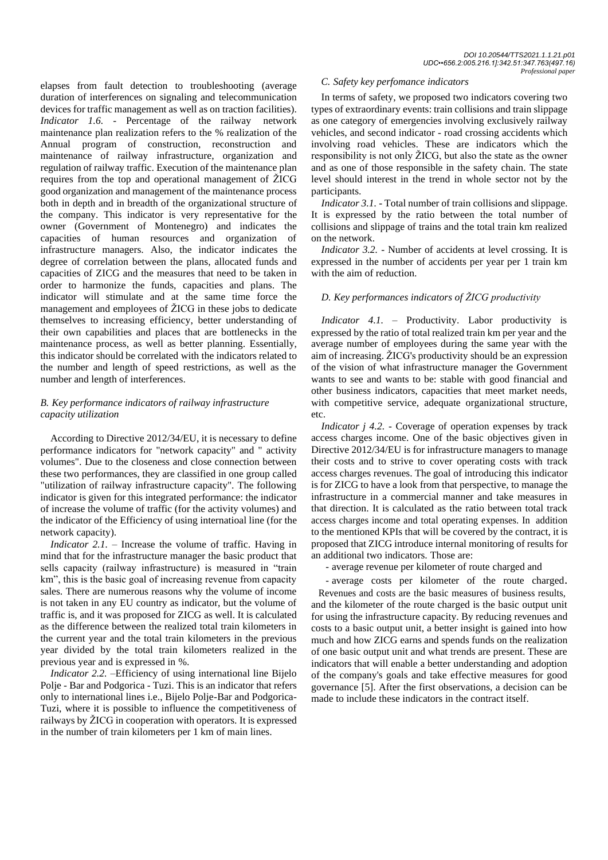elapses from fault detection to troubleshooting (average duration of interferences on signaling and telecommunication devices for traffic management as well as on traction facilities). *Indicator 1.6.* - Percentage of the railway network maintenance plan realization refers to the % realization of the Annual program of construction, reconstruction and maintenance of railway infrastructure, organization and regulation of railway traffic. Execution of the maintenance plan requires from the top and operational management of ŽICG good organization and management of the maintenance process both in depth and in breadth of the organizational structure of the company. This indicator is very representative for the owner (Government of Montenegro) and indicates the capacities of human resources and organization of infrastructure managers. Also, the indicator indicates the degree of correlation between the plans, allocated funds and capacities of ZICG and the measures that need to be taken in order to harmonize the funds, capacities and plans. The indicator will stimulate and at the same time force the management and employees of ŽICG in these jobs to dedicate themselves to increasing efficiency, better understanding of their own capabilities and places that are bottlenecks in the maintenance process, as well as better planning. Essentially, this indicator should be correlated with the indicators related to the number and length of speed restrictions, as well as the number and length of interferences.

# *B. Key performance indicators of railway infrastructure capacity utilization*

According to Directive 2012/34/EU, it is necessary to define performance indicators for "network capacity" and " activity volumes". Due to the closeness and close connection between these two performances, they are classified in one group called "utilization of railway infrastructure capacity". The following indicator is given for this integrated performance: the indicator of increase the volume of traffic (for the activity volumes) and the indicator of the Efficiency of using internatioal line (for the network capacity).

*Indicator 2.1.* – Increase the volume of traffic. Having in mind that for the infrastructure manager the basic product that sells capacity (railway infrastructure) is measured in "train km", this is the basic goal of increasing revenue from capacity sales. There are numerous reasons why the volume of income is not taken in any EU country as indicator, but the volume of traffic is, and it was proposed for ZICG as well. It is calculated as the difference between the realized total train kilometers in the current year and the total train kilometers in the previous year divided by the total train kilometers realized in the previous year and is expressed in %.

*Indicator 2.2.* –Efficiency of using international line Bijelo Polje - Bar and Podgorica - Tuzi. This is an indicator that refers only to international lines i.e., Bijelo Polje-Bar and Podgorica-Tuzi, where it is possible to influence the competitiveness of railways by ŽICG in cooperation with operators. It is expressed in the number of train kilometers per 1 km of main lines.

#### *C. Safety key perfomance indicators*

In terms of safety, we proposed two indicators covering two types of extraordinary events: train collisions and train slippage as one category of emergencies involving exclusively railway vehicles, and second indicator - road crossing accidents which involving road vehicles. These are indicators which the responsibility is not only ŽICG, but also the state as the owner and as one of those responsible in the safety chain. The state level should interest in the trend in whole sector not by the participants.

*Indicator 3.1.* - Total number of train collisions and slippage. It is expressed by the ratio between the total number of collisions and slippage of trains and the total train km realized on the network.

*Indicator 3.2.* - Number of accidents at level crossing. It is expressed in the number of accidents per year per 1 train km with the aim of reduction.

# *D. Key performances indicators of ŽICG productivity*

*Indicator 4.1.* – Productivity. Labor productivity is expressed by the ratio of total realized train km per year and the average number of employees during the same year with the aim of increasing. ŽICG's productivity should be an expression of the vision of what infrastructure manager the Government wants to see and wants to be: stable with good financial and other business indicators, capacities that meet market needs, with competitive service, adequate organizational structure, etc.

*Indicator j 4.2.* - Coverage of operation expenses by track access charges income. One of the basic objectives given in Directive 2012/34/EU is for infrastructure managers to manage their costs and to strive to cover operating costs with track access charges revenues. The goal of introducing this indicator is for ZICG to have a look from that perspective, to manage the infrastructure in a commercial manner and take measures in that direction. It is calculated as the ratio between total track access charges income and total operating expenses. In addition to the mentioned KPIs that will be covered by the contract, it is proposed that ZICG introduce internal monitoring of results for an additional two indicators. Those are:

- average revenue per kilometer of route charged and

- average costs per kilometer of the route charged. Revenues and costs are the basic measures of business results, and the kilometer of the route charged is the basic output unit for using the infrastructure capacity. By reducing revenues and costs to a basic output unit, a better insight is gained into how much and how ZICG earns and spends funds on the realization of one basic output unit and what trends are present. These are indicators that will enable a better understanding and adoption of the company's goals and take effective measures for good governance [5]. After the first observations, a decision can be made to include these indicators in the contract itself.